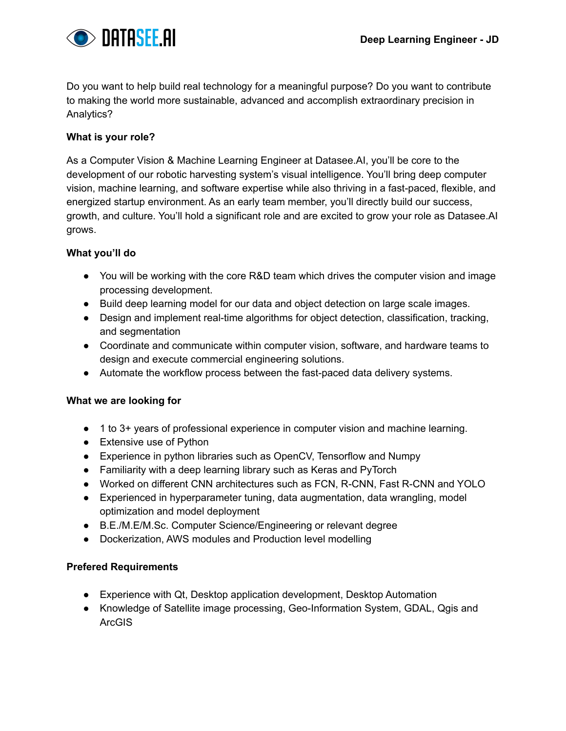

Do you want to help build real technology for a meaningful purpose? Do you want to contribute to making the world more sustainable, advanced and accomplish extraordinary precision in Analytics?

# **What is your role?**

As a Computer Vision & Machine Learning Engineer at Datasee.AI, you'll be core to the development of our robotic harvesting system's visual intelligence. You'll bring deep computer vision, machine learning, and software expertise while also thriving in a fast-paced, flexible, and energized startup environment. As an early team member, you'll directly build our success, growth, and culture. You'll hold a significant role and are excited to grow your role as Datasee.AI grows.

### **What you'll do**

- You will be working with the core R&D team which drives the computer vision and image processing development.
- Build deep learning model for our data and object detection on large scale images.
- Design and implement real-time algorithms for object detection, classification, tracking, and segmentation
- Coordinate and communicate within computer vision, software, and hardware teams to design and execute commercial engineering solutions.
- Automate the workflow process between the fast-paced data delivery systems.

#### **What we are looking for**

- 1 to 3+ years of professional experience in computer vision and machine learning.
- Extensive use of Python
- Experience in python libraries such as OpenCV, Tensorflow and Numpy
- Familiarity with a deep learning library such as Keras and PyTorch
- Worked on different CNN architectures such as FCN, R-CNN, Fast R-CNN and YOLO
- Experienced in hyperparameter tuning, data augmentation, data wrangling, model optimization and model deployment
- B.E./M.E/M.Sc. Computer Science/Engineering or relevant degree
- Dockerization, AWS modules and Production level modelling

# **Prefered Requirements**

- Experience with Qt, Desktop application development, Desktop Automation
- Knowledge of Satellite image processing, Geo-Information System, GDAL, Qgis and ArcGIS